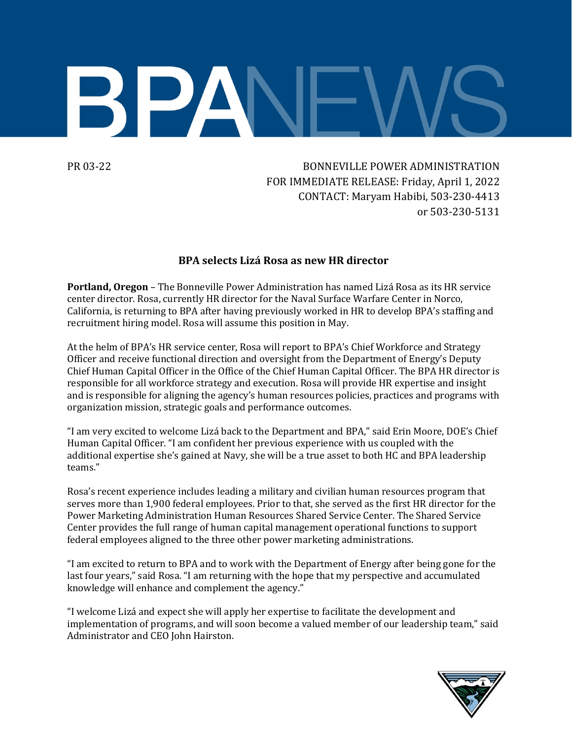

PR 03-22 BONNEVILLE POWER ADMINISTRATION FOR IMMEDIATE RELEASE: Friday, April 1, 2022 CONTACT: Maryam Habibi, 503-230-4413 or 503-230-5131

## **BPA selects Lizá Rosa as new HR director**

**Portland, Oregon** – The Bonneville Power Administration has named Lizá Rosa as its HR service center director. Rosa, currently HR director for the Naval Surface Warfare Center in Norco, California, is returning to BPA after having previously worked in HR to develop BPA's staffing and recruitment hiring model. Rosa will assume this position in May.

At the helm of BPA's HR service center, Rosa will report to BPA's Chief Workforce and Strategy Officer and receive functional direction and oversight from the Department of Energy's Deputy Chief Human Capital Officer in the Office of the Chief Human Capital Officer. The BPA HR director is responsible for all workforce strategy and execution. Rosa will provide HR expertise and insight and is responsible for aligning the agency's human resources policies, practices and programs with organization mission, strategic goals and performance outcomes.

"I am very excited to welcome Lizá back to the Department and BPA," said Erin Moore, DOE's Chief Human Capital Officer. "I am confident her previous experience with us coupled with the additional expertise she's gained at Navy, she will be a true asset to both HC and BPA leadership teams."

Rosa's recent experience includes leading a military and civilian human resources program that serves more than 1,900 federal employees. Prior to that, she served as the first HR director for the Power Marketing Administration Human Resources Shared Service Center. The Shared Service Center provides the full range of human capital management operational functions to support federal employees aligned to the three other power marketing administrations.

"I am excited to return to BPA and to work with the Department of Energy after being gone for the last four years," said Rosa. "I am returning with the hope that my perspective and accumulated knowledge will enhance and complement the agency."

"I welcome Lizá and expect she will apply her expertise to facilitate the development and implementation of programs, and will soon become a valued member of our leadership team," said Administrator and CEO John Hairston.